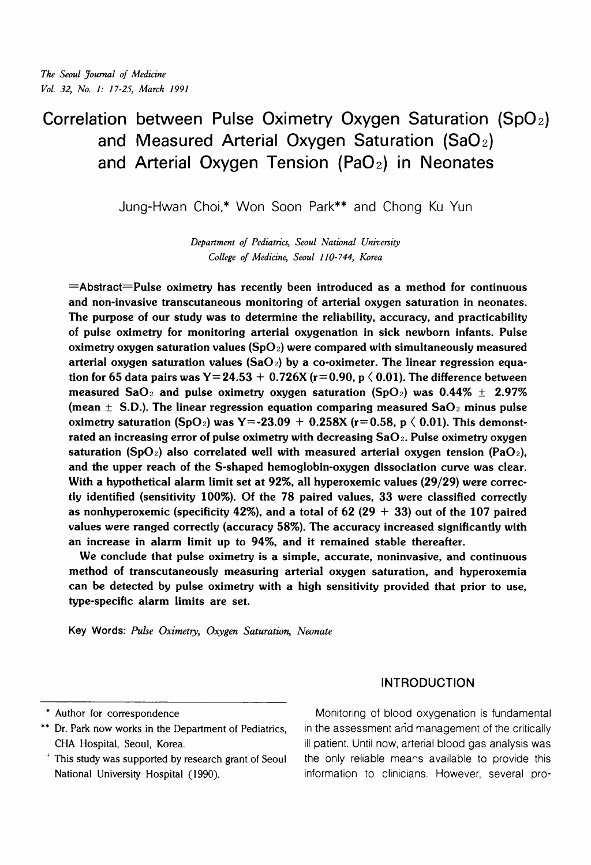# **Correlation between Pulse Oximetry Oxygen Saturation (SpO2) and Measured Arterial Oxygen Saturation (SaO** 2) **and Arterial Oxygen Tension (PaOz) in Neonates**

Jung-Hwan Choi,\* Won Soon Park\*\* and Chong Ku Yun

*Department of Pediatrics, Seoul National University College of Medicine, Seoul 110- 744, Korea* 

 $=$ Abstract $=$ Pulse oximetry has recently been introduced as a method for continuous and non-invasive transcutaneous monitoring of arterial oxygen saturation in neonates. The purpose of our study was to determine the reliability, accuracy, and practicability of pulse oximetry for monitoring arterial oxygenation in sick newborn infants. Pulse oximetry oxygen saturation values (SpO<sub>2</sub>) were compared with simultaneously measured arterial oxygen saturation values  $(SaO<sub>2</sub>)$  by a co-oximeter. The linear regression equation for 65 data pairs was Y= 24.53 + 0.726X ( $r = 0.90$ , p  $\langle 0.01$ ). The difference between measured SaO<sub>2</sub> and pulse oximetry oxygen saturation (SpO<sub>2</sub>) was  $0.44\% \pm 2.97\%$ (mean  $\pm$  S.D.). The linear regression equation comparing measured SaO<sub>2</sub> minus pulse oximetry saturation (SpO<sub>2</sub>) was Y=-23.09 + 0.258X (r=0.58, p  $\langle$  0.01). This demonstrated an increasing error of pulse oximetry with decreasing  $SaO<sub>2</sub>$ . Pulse oximetry oxygen saturation (SpO<sub>2</sub>) also correlated well with measured arterial oxygen tension (PaO<sub>2</sub>), and the upper reach of the S-shaped hemoglobin-oxygen dissociation curve was clear. With a hypothetical alarm limit set at 92%, all hyperoxemic values (29/29) were correctly identified (sensitivity 100%). Of the 78 paired values, 33 were classified correctly as nonhyperoxemic (specificity 42%), and a total of 62 (29  $+$  33) out of the 107 paired values were ranged correctly (accuracy 58%). The accuracy increased significantly with an increase in alarm limit up to 94%, and it remained stable thereafter.

We conclude that pulse oximetry is a simple, accurate, noninvasive, and continuous method of transcutaneously measuring arterial oxygen saturation, and hyperoxemia can be detected by pulse oximetry with a high sensitivity provided that prior to use, type-specific alarm limits are set.

**Key Words:** *Pulse Oximety, Oxygen Saturation, Neonate* 

**INTRODUCTION** 

- 
- 

\* Author for correspondence Monitoring of blood oxygenation is fundamental \*\* Dr. Park now works in the Department of Pediatrics, in the assessment and management of the critically CHA Hospital, Seoul, Korea. ill patient. Until now, arterial blood gas analysis was ' This study was supported by research grant of Seoul the only reliable means available to provide this information to clinicians. However, several pro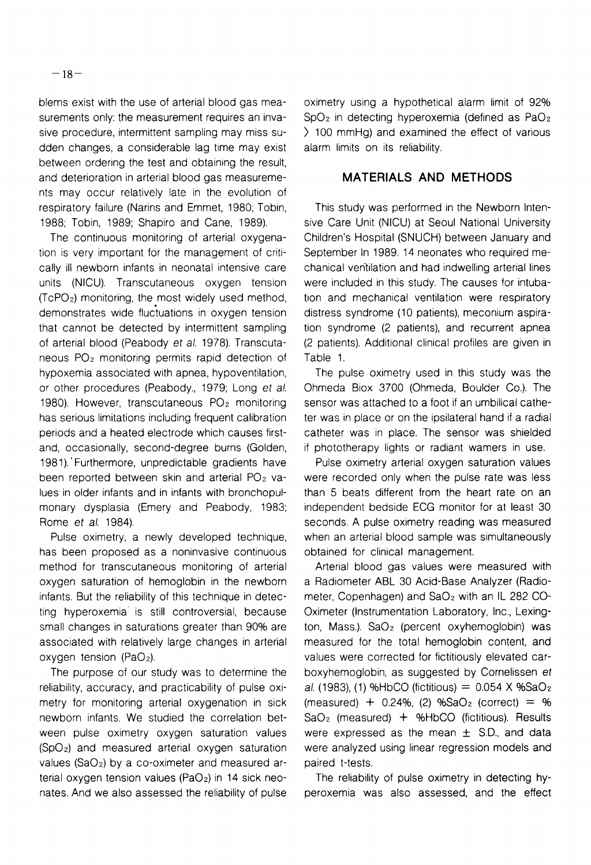blems exist with the use of arterial blood gas measurements only: the measurement requires an invasive procedure, intermittent sampling may miss sudden changes, a considerable lag time may exist between ordering the test and obtaining the result, and deterioration in arterial blood gas measurements may occur relatively late in the evolution of respiratory failure (Narins and Emmet, 1980; Tobin, 1988; Tobin, 1989; Shapiro and Cane, 1989).

The continuous monitoring of arterial oxygenation is very important for the management of critically ill newborn infants in neonatal intensive care units (NICU). Transcutaneous oxygen tension (TcPOz) monitoring, the most widely used method, demonstrates wide fluctuations in oxygen tension that cannot be detected by intermittent sampling of arterial blood (Peabody et al. 1978). Transcutaneous  $PO<sub>2</sub>$  monitoring permits rapid detection of hypoxemia associated with apnea, hypoventilation, or other procedures (Peabody., 1979; Long et a/. 1980). However, transcutaneous  $PO<sub>2</sub>$  monitoring has serious limitations including frequent calibration periods and a heated electrode which causes firstand, occasionally, second-degree burns (Golden, 198 1). ' Furthermore, unpredictable gradients have been reported between skin and arterial  $PO<sub>2</sub>$  values in older infants and in infants with bronchopulmonary dysplasia (Emery and Peabody, 1983; Rome et al. 1984).

Pulse oximetry, a newly developed technique, has been proposed as a noninvasive continuous method for transcutaneous monitoring of arterial oxygen saturation of hemoglobin in the newborn infants. But the reliability of this technique in detecting hyperoxemia' is still controversial, because small changes in saturations greater than 90% are associated with relatively large changes in arterial oxygen tension ( $PaO<sub>2</sub>$ ).

The purpose of our study was to determine the reliability, accuracy, and practicability of pulse oximetry for monitoring arterial oxygenation in sick newborn infants. We studied the correlation between pulse oximetry oxygen saturation values (SpOz) and measured arterial oxygen saturation values (Sa02) by a co-oximeter and measured arterial oxygen tension values (PaO<sub>2</sub>) in 14 sick neonates. And we also assessed the reliability of pulse oximetry using a hypothetical alarm limit of 92%  $SpO<sub>2</sub>$  in detecting hyperoxemia (defined as  $PaO<sub>2</sub>$ ) ) 100 mmHg) and examined the effect of various alarm limits on its reliability.

## **MATERIALS AND METHODS**

This study was performed in the Newborn Intensive Care Unit (NICU) at Seoul National University Children's Hospital (SNUCH) between January and September In 1989. 14 neonates who required mechanical ventilation and had indwelling arterial lines were included in this study. The causes for intubation and mechanical ventilation were respiratory distress syndrome (10 patients), meconium aspiration syndrome (2 patients), and recurrent apnea (2 patients). Additional clinical profiles are given in Table 1.

The pulse oximetry used in this study was the Ohmeda Biox 3700 (Ohmeda, Boulder Co.). The sensor was attached to a foot if an umbilical catheter was in place or on the ipsilateral hand if a radial catheter was in place. The sensor was shielded if phototherapy lights or radiant wamers in use.

Pulse oximetry arterial oxygen saturation values were recorded only when the pulse rate was less than 5 beats different from the heart rate on an independent bedside ECG monitor for at least 30 seconds. A pulse oximetry reading was measured when an arterial blood sample was simultaneously obtained for clinical management.

Arterial blood gas values were measured with a Radiometer ABL 30 Acid-Base Analyzer (Radiometer, Copenhagen) and SaOz with an IL 282 CO-Oximeter (Instrumentation Laboratory, Inc., Lexington, Mass.). SaOz (percent oxyhemoglobin) was measured for the total hemoglobin content, and values were corrected for fictitiously elevated carboxyhemoglobin, as suggested by Cornelissen et al. (1983), (1) %HbCO (fictitious) =  $0.054$  X %SaO<sub>2</sub> (measured) +  $0.24\%$ , (2) %SaO<sub>2</sub> (correct) = %  $SaO<sub>2</sub>$  (measured) + %HbCO (fictitious). Results were expressed as the mean  $\pm$  S.D., and data were analyzed using linear regression models and paired t-tests.

The reliability of pulse oximetry in detecting hyperoxemia was also assessed, and the effect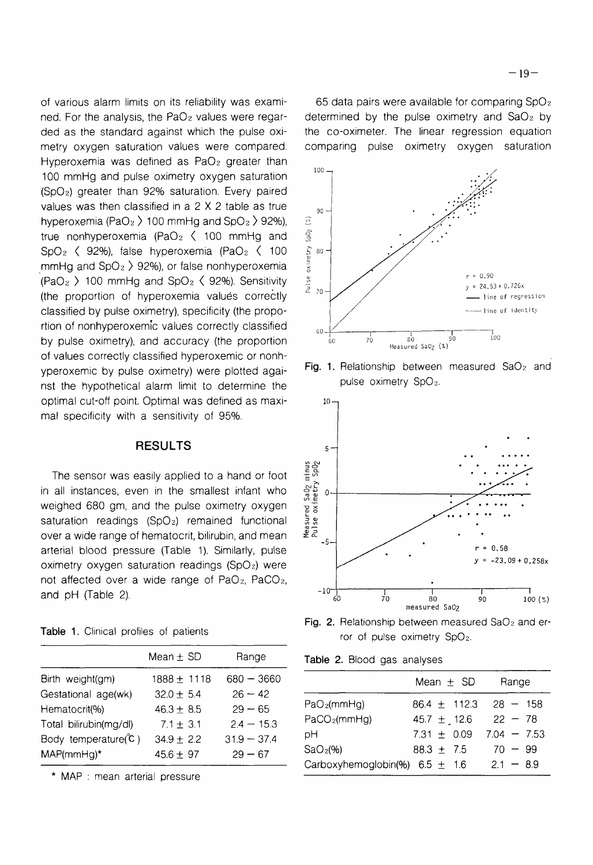of various alarm limits on its reliability was examined. For the analysis, the PaO<sub>2</sub> values were regarded as the standard against which the pulse oximetry oxygen saturation values were compared. Hyperoxemia was defined as PaO<sub>2</sub> greater than 100 mmHg and pulse oximetry oxygen saturation (SpOz) greater than 92% saturation. Every paired values was then classified in a 2 X 2 table as true hyperoxemia (PaO<sub>2</sub>  $>$  100 mmHg and SpO<sub>2</sub>  $>$  92%), true nonhyperoxemia (PaO<sub>2</sub>  $\langle$  100 mmHg and SpO<sub>2</sub>  $\langle$  92%), false hyperoxemia (PaO<sub>2</sub>  $\langle$  100 mmHg and  $SpO<sub>2</sub>$   $>$  92%), or false nonhyperoxemia (PaO<sub>2</sub> ) 100 mmHg and SpO<sub>2</sub>  $\langle$  92%). Sensitivity (the proportion of hyperoxemia values correctly classified by pulse oximetry), specificity (the propo-  $\sqrt{2}$ ,  $\sqrt{2}$ ,  $\sqrt{2}$ ,  $\sqrt{2}$ ,  $\sqrt{2}$ ,  $\sqrt{2}$ ,  $\sqrt{2}$ ,  $\sqrt{2}$ rtion of nonhyperoxemic values correctly classified  $\frac{1}{60}$ by pulse oximetry), and accuracy (the proportion  $\frac{1}{60}$   $\frac{1}{70}$   $\frac{1}{100}$   $\frac{1}{100}$   $\frac{90}{100}$ of values correctly classified hyperoxemic or nonhyperoxemic by pulse oximetry) were plotted agai-<br>not the hypothotical clarm limit to determine the pulse oximetry SpO<sub>2</sub>. nst the hypothetical alarm limit to determine the optimal cut-off point. Optimal was defined as maximal specificity with a sensitivity of 95%.

### **RESULTS** 5-

over a wide range of hematocrit, bilirubin, and mean  $\mathbb{R}^2 \times \mathbb{R}$ <sub>-5</sub> oximetry oxygen saturation readings (SpO<sub>2</sub>) were not affected over a wide range of PaOz, PaC02, and pH (Table 2).  $\frac{10}{60}$   $\frac{1}{70}$   $\frac{1}{80}$   $\frac{1}{90}$   $\frac{1}{90}$ 

|  |  |  |  |  | Table 1. Clinical profiles of patients |
|--|--|--|--|--|----------------------------------------|
|--|--|--|--|--|----------------------------------------|

|                                  | Mean $\pm$ SD   | Range         | Table 2. Blood gas analyses         |                  |               |
|----------------------------------|-----------------|---------------|-------------------------------------|------------------|---------------|
| Birth weight(gm)                 | $1888 \pm 1118$ | $680 - 3660$  |                                     | Mean $\pm$ SD    | Range         |
| Gestational age(wk)              | $32.0 \pm 5.4$  | $26 - 42$     |                                     |                  |               |
| Hematocrit(%)                    | $46.3 \pm 8.5$  | $29 - 65$     | PaO <sub>2</sub> (mmHg)             | 86.4 $\pm$ 112.3 | $28 - 158$    |
| Total bilirubin(mg/dl)           | $7.1 \pm 3.1$   | $2.4 - 15.3$  | PaCO <sub>2</sub> (mmHg)            | 45.7 $\pm$ 12.6  | $22 - 78$     |
| Body temperature $\mathcal{C}$ ) | $34.9 \pm 2.2$  | $31.9 - 37.4$ | рH                                  | 7.31 $\pm$ 0.09  | $7.04 - 7.53$ |
| $MAP(mmHq)$ *                    | $45.6 \pm 97$   | $29 - 67$     | SaO <sub>2</sub> (%                 | $88.3 \pm 7.5$   | $70 - 99$     |
|                                  |                 |               | $Corkov(bomodohio/04)$ $CE \cup 1E$ |                  | $21 - 00$     |

\* MAP : mean arterial pressure

65 data pairs were available for comparing  $SpO<sub>2</sub>$ determined by the pulse oximetry and  $SaO<sub>2</sub>$  by the co-oximeter. The linear regression equation comparing pulse oximetry oxygen saturation





Fig. 2. Relationship between measured  $SaO<sub>2</sub>$  and error of pulse oximetry SpOz.

|  |  | <b>Table 2.</b> Blood gas analyses |  |  |  |
|--|--|------------------------------------|--|--|--|
|--|--|------------------------------------|--|--|--|

| Birth weight(gm)                     | $1888 \pm 1118$                  | $680 - 3660$                  |                                    | Mean $\pm$ SD                      | Range                      |
|--------------------------------------|----------------------------------|-------------------------------|------------------------------------|------------------------------------|----------------------------|
| Gestational age(wk)<br>Hematocrit(%) | $32.0 \pm 5.4$<br>$46.3 \pm 8.5$ | $26 - 42$<br>$29 - 65$        | PaO <sub>2</sub> (mmHg)            | 86.4 $\pm$ 112.3                   | $28 - 158$                 |
| Total bilirubin(mg/dl)               | $7.1 \pm 3.1$                    | $2.4 - 15.3$<br>$31.9 - 37.4$ | PaCO <sub>2</sub> (mmHg)<br>рH     | 45.7 $\pm$ 12.6<br>7.31 $\pm$ 0.09 | $22 - 78$<br>$7.04 - 7.53$ |
| Body temperature(°C)<br>MAP(mmHg)*   | $34.9 \pm 2.2$<br>$45.6 \pm 97$  | $29 - 67$                     | SaO <sub>2</sub> (%)               | $88.3 \pm 7.5$                     | $70 - 99$                  |
|                                      |                                  |                               | Carboxyhemoglobin(%) 6.5 $\pm$ 1.6 |                                    | $2.1 - 8.9$                |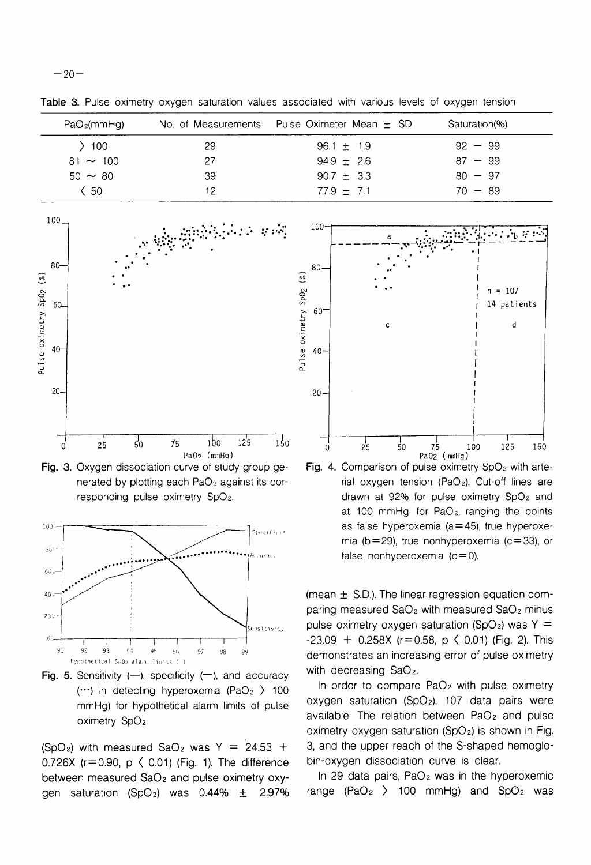**Table** 3. Pulse oximetry oxygen saturation values associated with various levels of oxygen tension

| PaO <sub>2</sub> (mmHg) | No. of Measurements | Pulse Oximeter Mean $\pm$ SD | Saturation(%) |
|-------------------------|---------------------|------------------------------|---------------|
| 100                     | 29                  | $96.1 \pm 1.9$               | $92 - 99$     |
| $81 \sim 100$           | 27                  | $94.9 \pm 2.6$               | $87 - 99$     |
| $50 \sim 80$            | 39                  | 90.7 $\pm$ 3.3               | $80 - 97$     |
| $\langle 50$            | 12                  | $77.9 \pm 7.1$               | $70 - 89$     |
| $100 -$<br>$80 -$       | 油涂抹布 经资产            | $100 -$<br>$80-$             |               |



**Fig. 3.** Oxygen dissociation curve ot study group generated by plotting each PaO<sub>2</sub> against its corresponding pulse oximetry SpOz.



**Fig. 5.** Sensitivity  $(-)$ , specificity  $(-)$ , and accuracy with decreasing SaO<sub>2</sub>.

0.726X ( $r=0.90$ ,  $p \le 0.01$ ) (Fig. 1). The difference bin-oxygen dissociation curve is clear. between measured  $SaO<sub>2</sub>$  and pulse oximetry  $oxy-$  In 29 data pairs, PaO<sub>2</sub> was in the hyperoxemic gen saturation (SpO<sub>2</sub>) was 0.44%  $\pm$  2.97% range (PaO<sub>2</sub> ) 100 mmHg) and SpO<sub>2</sub> was



**Fig. 4.** Comparison of pulse oximetry SpO<sub>2</sub> with arterial oxygen tension (PaOz). Cut-off lines are drawn at 92% for pulse oximetry SpOz and at 100 mmHg, for PaOz, ranging the points as false hyperoxemia ( $a=45$ ), true hyperoxemia ( $b = 29$ ), true nonhyperoxemia ( $c = 33$ ), or false nonhyperoxemia  $(d= 0)$ .

(mean  $\pm$  S.D.). The linear regression equation comparing measured  $SaO<sub>2</sub>$  with measured  $SaO<sub>2</sub>$  minus pulse oximetry oxygen saturation (SpO<sub>2</sub>) was  $Y =$  $-23.09 + 0.258X$  (r=0.58, p  $\langle$  0.01) (Fig. 2). This demonstrates an increasing error of pulse oximetry

(...) in detecting hyperoxemia (PaO<sub>2</sub> ) 100 In order to compare PaO<sub>2</sub> with pulse oximetry mmHg) for hypothetical alarm limits of pulse oxygen saturation (SpO<sub>2</sub>), 107 data pairs were oximetry SpO<sub>2</sub>. **available.** The relation between PaO<sub>2</sub> and pulse oximetry oxygen saturation  $(SpO<sub>2</sub>)$  is shown in Fig.  $(SpO<sub>2</sub>)$  with measured SaO<sub>2</sub> was Y = 24.53 + 3, and the upper reach of the S-shaped hemoglo-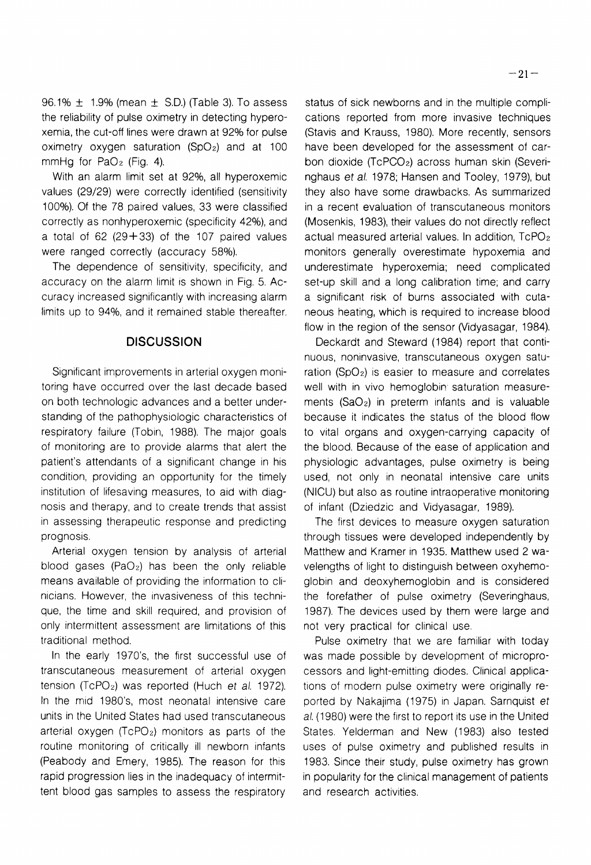96.1%  $\pm$  1.9% (mean  $\pm$  S.D.) (Table 3). To assess the reliability of pulse oximetry in detecting hyperoxemia, the cut-off lines were drawn at 92% for pulse oximetry oxygen saturation (SpO<sub>2</sub>) and at 100 mmHg for  $PaO<sub>2</sub>$  (Fig. 4).

With an alarm limit set at 92%, all hyperoxemic values (29/29) were correctly identified (sensitivity 100%). Of the 78 paired values, 33 were classified correctly as nonhyperoxemic (specificity 42%), and a total of  $62$  (29+33) of the 107 paired values were ranged correctly (accuracy 58%).

The dependence of sensitivity, specificity, and accuracy on the alarm limit is shown in Fig. 5. Accuracy increased significantly with increasing alarm limits up to 94%, and it remained stable thereafter.

#### **DISCUSSION**

Significant improvements in arterial oxygen monitoring have occurred over the last decade based on both technologic advances and a better understanding of the pathophysiologic characteristics of respiratory failure (Tobin, 1988). The major goals of monitoring are to provide alarms that alert the patient's attendants of a significant change in his condition, providing an opportunity for the timely institution of lifesaving measures, to aid with diagnosis and therapy, and to create trends that assist in assessing therapeutic response and predicting prognosis.

Arterial oxygen tension by analysis of arterial blood gases (PaOz) has been the only reliable means available of providing the information to clinicians. However, the invasiveness of this technique, the time and skill required, and provision of only intermittent assessment are limitations of this traditional method.

In the early 1970's, the first successful use of transcutaneous measurement of arterial oxygen tension (TcPO<sub>2</sub>) was reported (Huch et al. 1972). In the mid 1980's, most neonatal intensive care units in the United States had used transcutaneous arterial oxygen  $(TcPO<sub>2</sub>)$  monitors as parts of the routine monitoring of critically ill newborn infants (Peabody and Emery, 1985). The reason for this rapid progression lies in the inadequacy of intermittent blood gas samples to assess the respiratory

status of sick newborns and in the multiple complications reported from more invasive techniques (Stavis and Krauss, 1980). More recently, sensors have been developed for the assessment of carbon dioxide (TcPC02) across human skin (Severinghaus et al. 1978; Hansen and Tooley, 1979), but they also have some drawbacks. As summarized in a recent evaluation of transcutaneous monitors (Mosenkis, 1983), their values do not directly reflect actual measured arterial values. In addition, TcPOz monitors generally overestimate hypoxemia and underestimate hyperoxemia; need complicated set-up skill and a long calibration time; and carry a significant risk of burns associated with cutaneous heating, which is required to increase blood flow in the region of the sensor (Vidyasagar, 1984).

Deckardt and Steward (1984) report that continuous, noninvasive, transcutaneous oxygen saturation (SpO $_2$ ) is easier to measure and correlates well with in vivo hemoglobin saturation measurements  $(SaO<sub>2</sub>)$  in preterm infants and is valuable because it indicates the status of the blood flow to vital organs and oxygen-carrying capacity of the blood. Because of the ease of application and physiologic advantages, pulse oximetry is being used, not only in neonatal intensive care units (NICU) but also as routine intraoperative monitoring of infant (Dziedzic and Vidyasagar, 1989).

The first devices to measure oxygen saturation through tissues were developed independently by Matthew and Kramer in 1935. Matthew used 2 wavelengths of light to distinguish between oxyhemoglobin and deoxyhemoglobin and is considered the forefather of pulse oximetry (Severinghaus, 1987). The devices used by them were large and not very practical for clinical use.

Pulse oximetry that we are familiar with today was made possible by development of microprocessors and light-emitting diodes. Clinical applications of modern pulse oximetry were originally reported by Nakajima (1975) in Japan. Sarnquist ef al. (1980) were the first to report its use in the United States. Yelderman and New (1983) also tested uses of pulse oximetry and published results in 1983. Since their study, pulse oximetry has grown in popularity for the clinical management of patients and research activities.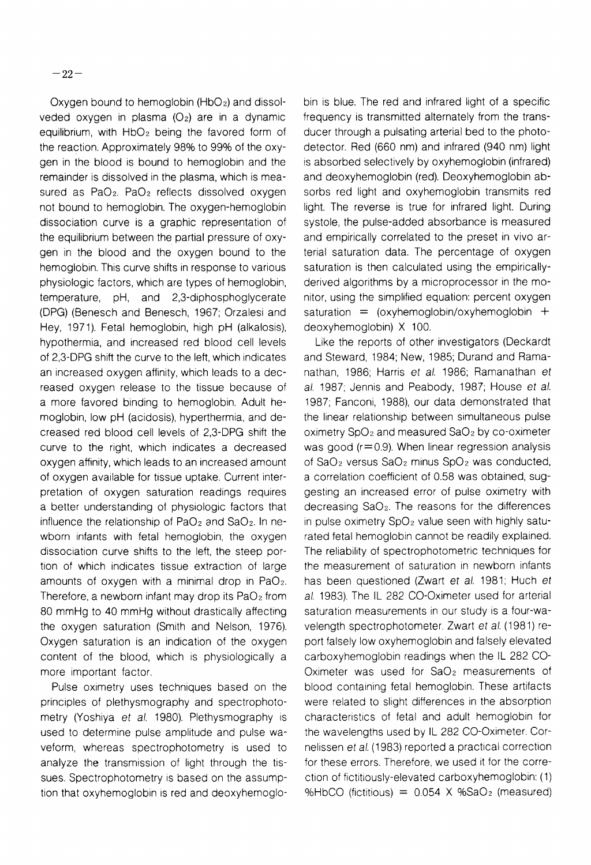Oxygen bound to hemoglobin  $(HbO<sub>2</sub>)$  and dissolveded oxygen in plasma  $(O_2)$  are in a dynamic equilibrium, with  $HbO<sub>2</sub>$  being the favored form of the reaction. Approximately 98% to 99% of the oxygen in the blood is bound to hemoglobin and the remainder is dissolved in the plasma, which is measured as PaO<sub>2</sub>. PaO<sub>2</sub> reflects dissolved oxygen not bound to hemoglobin. The oxygen-hemoglobin dissociation curve is a graphic representation of the equilibrium between the partial pressure of oxygen in the blood and the oxygen bound to the hemoglobin. This curve shifts in response to various physiologic factors, which are types of hemoglobin, temperature, pH, and 2,3-diphosphoglycerate (DPG) (Benesch and Benesch, 1967; Orzalesi and Hey, 197 1). Fetal hemoglobin, high pH (alkalosis), hypothermia, and increased red blood cell levels of 2,3-DPG shift the curve to the left, which indicates an increased oxygen affinity, which leads to a decreased oxygen release to the tissue because of a more favored binding to hemoglobin. Adult hemoglobin, low pH (acidosis), hyperthermia, and decreased red blood cell levels of 2,3-DPG shift the curve to the right, which indicates a decreased oxygen affinity, which leads to an increased amount of oxygen available for tissue uptake. Current interpretation of oxygen saturation readings requires a better understanding of physiologic factors that influence the relationship of  $PaO<sub>2</sub>$  and  $SaO<sub>2</sub>$ . In newborn infants with fetal hemoglobin, the oxygen dissociation curve shifts to the left, the steep portion of which indicates tissue extraction of large amounts of oxygen with a minimal drop in  $PaO<sub>2</sub>$ . Therefore, a newborn infant may drop its  $PaO<sub>2</sub>$  from 80 mmHg to 40 mmHg without drastically affecting the oxygen saturation (Smith and Nelson, 1976). Oxygen saturation is an indication of the oxygen content of the blood, which is physiologically a more important factor.

Pulse oximetry uses techniques based on the principles of plethysmography and spectrophotometry (Yoshiya *et* al. 1980). Plethysmography is used to determine pulse amplitude and pulse waveform, whereas spectrophotometry is used to analyze the transmission of light through the tissues. Spectrophotometry is based on the assumption that oxyhemoglobin is red and deoxyhemoglobin is blue. The red and infrared light of a specific frequency is transmitted alternately from the transducer through a pulsating arterial bed to the photodetector. Red (660 nm) and infrared (940 nm) light is absorbed selectively by oxyhemoglobin (infrared) and deoxyhemoglobin (red). Deoxyhemoglobin absorbs red light and oxyhemoglobin transmits red light. The reverse is true for infrared light. During systole, the pulse-added absorbance is measured and empirically correlated to the preset in vivo arterial saturation data. The percentage of oxygen saturation is then calculated using the empiricallyderived algorithms by a microprocessor in the monitor, using the simplified equation: percent oxygen saturation  $=$  (oxyhemoglobin/oxyhemoglobin  $+$ deoxyhemoglobin) X 100.

Like the reports of other investigators (Deckardt and Steward, 1984; New, 1985; Durand and Ramanathan, 1986; Harris *et* al. 1986; Ramanathan *et*  a/. 1987; Jennis and Peabody, 1987; House *et* a/. 1987; Fanconi, 1988), our data demonstrated that the linear relationship between simultaneous pulse oximetry SpOz and measured Sa02 by co-oximeter was good ( $r = 0.9$ ). When linear regression analysis of Sa02 versus SaO2 minus SpOz was conducted, a correlation coefficient of 0.58 was obtained, suggesting an increased error of pulse oximetry with decreasing SaOz. The reasons for the differences in pulse oximetry  $SpO<sub>2</sub>$  value seen with highly saturated fetal hemoglobin cannot be readily explained. The reliability of spectrophotometric techniques for the measurement of saturation in newborn infants has been questioned (Zwart *et* al. 1981; Huch *et*  al. 1983). The IL 282 CO-Oximeter used for arterial saturation measurements in our study is a four-wavelength spectrophotometer. Zwart *et al.* (1981) report falsely low oxyhemoglobin and falsely elevated carboxyhemoglobin readings when the IL 282 CO-Oximeter was used for Sa02 measurements of blood containing fetal hemoglobin. These artifacts were related to slight differences in the absorption characteristics of fetal and adult hemoglobin for the wavelengths used by IL 282 CO-Oximeter. Cornelissen et al. (1983) reported a practical correction for these errors. Therefore, we used it for the correction of fictitiously-elevated carboxyhemoglobin: (1) %HbCO (fictitious) =  $0.054$  X %SaO<sub>2</sub> (measured)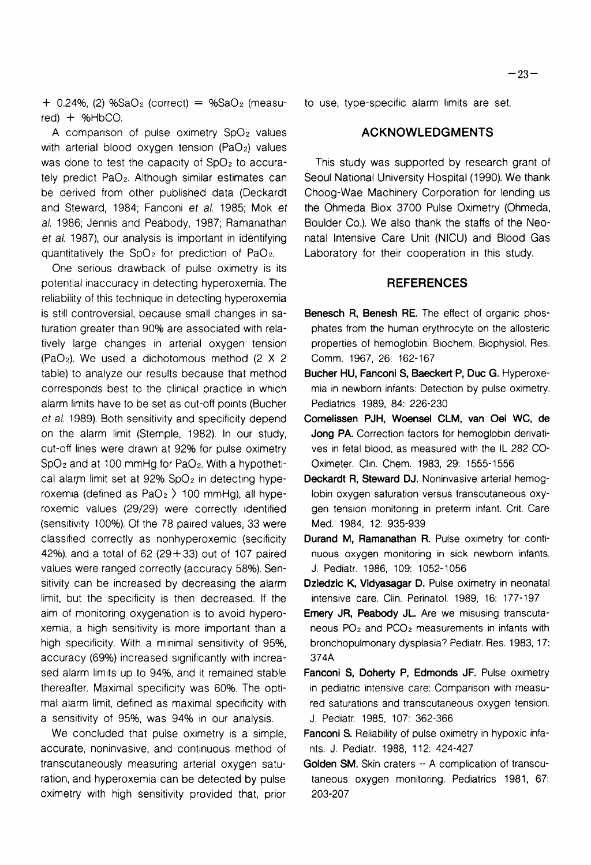$+$  0.24%, (2) %SaO<sub>2</sub> (correct) = %SaO<sub>2</sub> (measured)  $+$  %HbCO.

A comparison of pulse oximetry  $SpO<sub>2</sub>$  values with arterial blood oxygen tension (PaO<sub>2</sub>) values was done to test the capacity of SpO<sub>2</sub> to accurately predict Pa02. Although similar estimates can be derived from other published data (Deckardt and Steward, 1984; Fanconi et al. 1985; Mok et al. 1986; Jennis and Peabody, 1987; Ramanathan et al. 1987), our analysis is important in identifying quantitatively the  $SpO<sub>2</sub>$  for prediction of PaO<sub>2</sub>.

One serious drawback of pulse oximetry is its potential inaccuracy in detecting hyperoxemia. The reliability of this technique in detecting hyperoxemia is still controversial, because small changes in saturation greater than 90% are associated with relatively large changes in arterial oxygen tension (PaOz). We used a dichotomous method (2 X 2 table) to analyze our results because that method corresponds best to the clinical practice in which alarm limits have to be set as cut-off points (Bucher et al. 1989). Both sensitivity and specificity depend on the alarm limit (Stemple, 1982). In our study, cut-off lines were drawn at 92% for pulse oximetry  $SpO<sub>2</sub>$  and at 100 mmHg for PaO<sub>2</sub>. With a hypothetical alarm limit set at  $92\%$  SpO<sub>2</sub> in detecting hyperoxemia (defined as  $PaO<sub>2</sub>$ ) 100 mmHg), all hyperoxemic values (29/29) were correctly identified (sensitivity 100%). Of the 78 paired values, 33 were classified correctly as nonhyperoxemic (secificity 42%), and a total of  $62$  (29 + 33) out of 107 paired values were ranged correctly (accuracy 58%). Sensitivity can be increased by decreasing the alarm limit, but the specificity is then decreased. If the aim of monitoring oxygenation is to avoid hyperoxemia, a high sensitivity is more important than a high specificity. With a minimal sensitivity of 95%, accuracy (69%) increased significantly with increased alarm limits up to 94%, and it remained stable thereafter. Maximal specificity was 60%. The optimal alarm limit, defined as maximal specificity with a sensitivity of 95%, was 94% in our analysis.

We concluded that pulse oximetry is a simple, accurate, noninvasive, and continuous method of transcutaneously measuring arterial oxygen saturation, and hyperoxemia can be detected by pulse oximetry with high sensitivity provided that, prior to use, type-specific alarm limits are set.

#### **ACKNOWLEDGMENTS**

This study was supported by research grant of Seoul National University Hospital (1990). We thank Choog-Wae Machinery Corporation for lending us the Ohmeda Biox 3700 Pulse Oximetry (Ohmeda, Boulder Co.). We also thank the staffs of the Neonatal Intensive Care Unit (NICU) and Blood Gas Laboratory for their cooperation in this study.

#### **REFERENCES**

- **Benesch R, Benesh RE.** The effect of organic phosphates from the human erythrocyte on the allosteric properties of hemoglobin. Biochem. Biophysiol. Res. Comm. 1967, 26: 162-167
- **Bucher** HU, **Fanconi S, Baeckert P, Duc G.** Hyperoxemia in newborn infants: Detection by pulse oximetry. Pediatrics 1989, 84: 226-230
- **Cornelissen PJH, Woensel CLM, van Oel WC, de Jong PA.** Correction factors for hemoglobin derivatives in fetal blood, as measured with the IL 282 CO-Oximeter. Clin. Chem. 1983, 29: 1555-1556
- **Deckardt R, Steward DJ.** Noninvasive arterial hemoglobin oxygen saturation versus transcutaneous oxygen tension monitoring in preterm infant. Crit. Care Med. 1984, 12: 935-939
- **Durand M, Ramanathan R. Pulse oximetry for conti**nuous oxygen monitoring in sick newborn infants. J. Pediatr. 1986, 109: 1052-1056
- Dziedzic K, Vidyasagar D. Pulse oximetry in neonatal intensive care. Clin. Perinatol. 1989, 16: 177- 197
- **Emery JR, Peabody JL.** Are we misusing transcutaneous PO2 and PC02 measurements in infants with bronchopulmonary dysplasia? Pediatr. Res. 1983, 17: 374A
- Fanconi S, Doherty P, Edmonds JF. Pulse oximetry in pediatric intensive care: Comparison with measured saturations and transcutaneous oxygen tension. J. Pediatr. 1985, 107: 362-366
- **Fanconi S.** Reliability of pulse oximetry in hypoxic infants. J. Pediatr. 1988, 1 12: 424-427
- **Golden SM.** Skin craters -- A complication of transcutaneous oxygen monitoring. Pediatrics 1981, 67: 203-207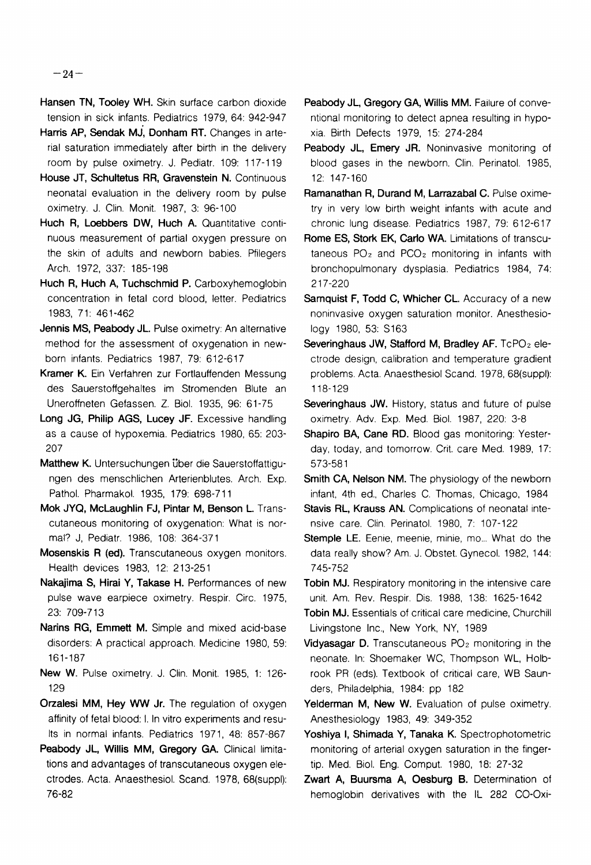- **Hansen TN, Tooley WH.** Skin surface carbon dioxide tension in sick infants. Pediatrics 1979, 64: 942-947
- Harris AP, Sendak MJ, Donham RT. Changes in arterial saturation immediately after birth in the delivery room by pulse oximetry. J. Pediatr. 109: 117-119
- House JT, Schultetus RR, Gravenstein N. Continuous neonatal evaluation in the delivery room by pulse oximetry. J. Clin. Monit. 1987, 3: 96-100
- Huch R, Loebbers DW, Huch A. Quantitative continuous measurement of partial oxygen pressure on the skin of adults and newborn babies. Pfilegers Arch. 1972, 337: 185-198
- Huch R, Huch A, Tuchschmid P. Carboxyhemoglobin concentration in fetal cord blood, letter. Pediatrics 1983, 71: 461-462
- **Jennis MS, Peabody JL. Pulse oximetry: An alternative** method for the assessment of oxygenation in newborn infants. Pediatrics 1987, 79: 6 12-6 17
- **Kramer K.** Ein Verfahren zur Fortlauffenden Messung des Sauerstoffgehaltes im Stromenden Blute an Uneroffneten Gefassen. Z. Biol. 1935, 96: 61-75
- Long JG, Philip AGS, Lucey JF. Excessive handling as a cause of hypoxemia. Pediatrics 1980, 65: 203- 207
- Matthew K. Untersuchungen über die Sauerstoffattigungen des menschlichen Arterienblutes. Arch. Exp. Pathol. Pharmakol. 1935, 179: 698-7 1 1
- **Mok JYQ, McLaughlin FJ, Pintar M, Benson L.** Transcutaneous monitoring of oxygenation: What is normal? J, Pediatr. 1986, 108: 364-371
- **Mosenskis R (ed).** Transcutaneous oxygen monitors. Health devices 1983, 12: 213-251
- **Nakajima S, Hirai Y, Takase H.** Performances of new pulse wave earpiece oximetry. Respir. Circ. 1975, 23: 709-713
- **Narins RG, Emmett M.** Simple and mixed acid-base disorders: A practical approach. Medicine 1980, 59: 161-187
- **New W.** Pulse oximetry. **J.** Clin. Monit. 1985, 1: 126- 129
- **Orzalesi MM, Hey WW Jr.** The regulation of oxygen affinity of fetal blood: I. In vitro experiments and results in normal infants. Pediatrics 1971, 48: 857-867
- Peabody JL, Willis MM, Gregory GA. Clinical limitations and advantages of transcutaneous oxygen electrodes. Acta. Anaesthesiol. Scand. 1978, 68(suppl): 76-82
- Peabody JL, Gregory GA, Willis MM. Failure of conventional monitoring to detect apnea resulting in hypoxia. Birth Defects 1979, 15: 274-284
- Peabody JL, Emery JR. Noninvasive monitoring of blood gases in the newborn. Clin. Perinatol. 1985, 12: 147-160
- **Ramanathan R, Durand M, Larrazabal C. Pulse oxime**try in very low birth weight infants with acute and chronic lung disease. Pediatrics 1987, 79: 612-617
- **Rome ES, Stork EK, Carlo WA.** Limitations of transcutaneous  $PO<sub>2</sub>$  and  $PCO<sub>2</sub>$  monitoring in infants with bronchopulmonary dysplasia. Pediatrics 1984, 74: 2 17-220
- **Samquist F, Todd C, Whicher CL.** Accuracy of a new noninvasive oxygen saturation monitor. Anesthesiology 1980, 53: S163
- **Severinghaus JW, Stafford M, Bradley AF. TcPO<sub>2</sub> ele**ctrode design, calibration and temperature gradient problems. Acta. Anaesthesiol Scand. 1978, 68(suppl): 118-129
- **Severinghaus JW.** History, status and future of pulse oximetry. Adv. Exp. Med. Biol. 1987, 220: 3-8
- **Shapiro BA, Cane RD.** Blood gas monitoring: Yesterday, today, and tomorrow. Crit. care Med. 1989, 17: 573-58 1
- **Smith CA, Nelson NM.** The physiology of the newborn infant, 4th ed., Charles C. Thomas, Chicago, 1984
- **Stavis RL, Krauss AN.** Complications of neonatal intensive care. Clin. Perinatol. 1980, 7: 107-122
- Stemple LE. Eenie, meenie, minie, mo... What do the data really show? Am. J. Obstet. Gynecol. 1982, 144: 745-752
- **Tobin MJ.** Respiratory monitoring in the intensive care unit. Am. Rev. Respir. Dis. 1988, 138: 1625-1642
- **Tobin MJ.** Essentials of critical care medicine, Churchill Livingstone Inc., New York, NY, 1989
- **Vidyasagar D.** Transcutaneous PO<sub>2</sub> monitoring in the neonate. In: Shoemaker WC, Thompson WL, Holbrook PR (eds). Textbook of critical care, WB Saunders, Philadelphia, 1984: pp 182
- Yelderman M, New W. Evaluation of pulse oximetry. Anesthesiology 1983, 49: 349-352
- **Yoshiya** I, **Shimada Y, Tanaka K.** Spectrophotometric monitoring of arterial oxygen saturation in the fingertip. Med. Biol. Eng. Comput. 1980, 18: 27-32
- **Zwart A, Buursma A, Oesburg B.** Determination of hemoglobin derivatives with the IL 282 CO-Oxi-